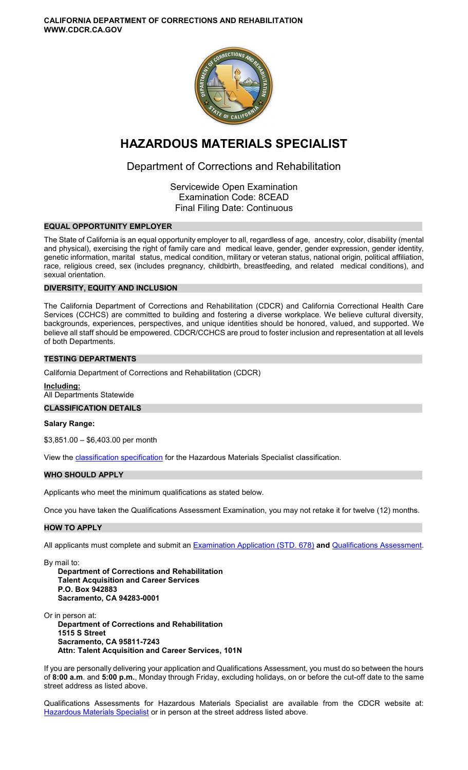**CALIFORNIA DEPARTMENT OF CORRECTIONS AND REHABILITATION WWW.CDCR.CA.GOV** 



# **HAZARDOUS MATERIALS SPECIALIST**

## Department of Corrections and Rehabilitation

Servicewide Open Examination Examination Code: 8CEAD Final Filing Date: Continuous

## **EQUAL OPPORTUNITY EMPLOYER**

The State of California is an equal opportunity employer to all, regardless of age, ancestry, color, disability (mental and physical), exercising the right of family care and medical leave, gender, gender expression, gender identity, genetic information, marital status, medical condition, military or veteran status, national origin, political affiliation, race, religious creed, sex (includes pregnancy, childbirth, breastfeeding, and related medical conditions), and sexual orientation.

## **DIVERSITY, EQUITY AND INCLUSION**

The California Department of Corrections and Rehabilitation (CDCR) and California Correctional Health Care Services (CCHCS) are committed to building and fostering a diverse workplace. We believe cultural diversity, backgrounds, experiences, perspectives, and unique identities should be honored, valued, and supported. We believe all staff should be empowered. CDCR/CCHCS are proud to foster inclusion and representation at all levels of both Departments.

#### **TESTING DEPARTMENTS**

California Department of Corrections and Rehabilitation (CDCR)

**Including:**  All Departments Statewide

## **CLASSIFICATION DETAILS**

**Salary Range:** 

\$3,851.00 – \$6,403.00 per month

View the [classification specification](http://www.calhr.ca.gov/state-hr-professionals/pages/3529.aspx) for the Hazardous Materials Specialist classification.

## **WHO SHOULD APPLY**

Applicants who meet the minimum qualifications as stated below.

Once you have taken the Qualifications Assessment Examination, you may not retake it for twelve (12) months.

## **HOW TO APPLY**

All applicants must complete and submit an [Examination Application \(STD. 678\)](https://jobs.ca.gov/pdf/STD678.pdf) **and** [Qualifications Assessment.](https://www.cdcr.ca.gov/careers/hazmatspecqa-o-c/)

By mail to: **Department of Corrections and Rehabilitation Talent Acquisition and Career Services P.O. Box 942883** 

**Sacramento, CA 94283-0001** 

Or in person at: **Department of Corrections and Rehabilitation 1515 S Street Sacramento, CA 95811-7243 Attn: Talent Acquisition and Career Services, 101N** 

If you are personally delivering your application and Qualifications Assessment, you must do so between the hours of **8:00 a.m**. and **5:00 p.m.**, Monday through Friday, excluding holidays, on or before the cut-off date to the same street address as listed above.

Qualifications Assessments for Hazardous Materials Specialist are available from the CDCR website at: [Hazardous Materials Specialist](https://www.cdcr.ca.gov/careers/hazmatspecqa-o-c/) or in person at the street address listed above.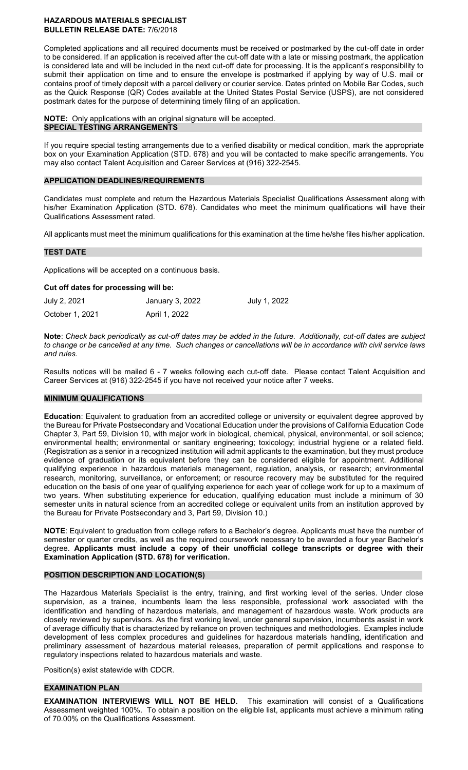#### **HAZARDOUS MATERIALS SPECIALIST BULLETIN RELEASE DATE:** 7/6/2018

Completed applications and all required documents must be received or postmarked by the cut-off date in order to be considered. If an application is received after the cut-off date with a late or missing postmark, the application is considered late and will be included in the next cut-off date for processing. It is the applicant's responsibility to submit their application on time and to ensure the envelope is postmarked if applying by way of U.S. mail or contains proof of timely deposit with a parcel delivery or courier service. Dates printed on Mobile Bar Codes, such as the Quick Response (QR) Codes available at the United States Postal Service (USPS), are not considered postmark dates for the purpose of determining timely filing of an application.

**NOTE:** Only applications with an original signature will be accepted. **SPECIAL TESTING ARRANGEMENTS** 

If you require special testing arrangements due to a verified disability or medical condition, mark the appropriate box on your Examination Application (STD. 678) and you will be contacted to make specific arrangements. You may also contact Talent Acquisition and Career Services at (916) 322-2545.

#### **APPLICATION DEADLINES/REQUIREMENTS**

Candidates must complete and return the Hazardous Materials Specialist Qualifications Assessment along with his/her Examination Application (STD. 678). Candidates who meet the minimum qualifications will have their Qualifications Assessment rated.

All applicants must meet the minimum qualifications for this examination at the time he/she files his/her application.

## **TEST DATE**

Applications will be accepted on a continuous basis.

**Cut off dates for processing will be:** 

| July 2, 2021    | January 3, 2022 | July 1, 2022 |
|-----------------|-----------------|--------------|
| October 1, 2021 | April 1, 2022   |              |

**Note**: *Check back periodically as cut-off dates may be added in the future. Additionally, cut-off dates are subject to change or be cancelled at any time. Such changes or cancellations will be in accordance with civil service laws and rules.* 

Results notices will be mailed 6 - 7 weeks following each cut-off date. Please contact Talent Acquisition and Career Services at (916) 322-2545 if you have not received your notice after 7 weeks.

## **MINIMUM QUALIFICATIONS**

**Education**: Equivalent to graduation from an accredited college or university or equivalent degree approved by the Bureau for Private Postsecondary and Vocational Education under the provisions of California Education Code Chapter 3, Part 59, Division 10, with major work in biological, chemical, physical, environmental, or soil science; environmental health; environmental or sanitary engineering; toxicology; industrial hygiene or a related field. (Registration as a senior in a recognized institution will admit applicants to the examination, but they must produce evidence of graduation or its equivalent before they can be considered eligible for appointment. Additional qualifying experience in hazardous materials management, regulation, analysis, or research; environmental research, monitoring, surveillance, or enforcement; or resource recovery may be substituted for the required education on the basis of one year of qualifying experience for each year of college work for up to a maximum of two years. When substituting experience for education, qualifying education must include a minimum of 30 semester units in natural science from an accredited college or equivalent units from an institution approved by the Bureau for Private Postsecondary and 3, Part 59, Division 10.)

**NOTE**: Equivalent to graduation from college refers to a Bachelor's degree. Applicants must have the number of semester or quarter credits, as well as the required coursework necessary to be awarded a four year Bachelor's degree. **Applicants must include a copy of their unofficial college transcripts or degree with their Examination Application (STD. 678) for verification.** 

## **POSITION DESCRIPTION AND LOCATION(S)**

The Hazardous Materials Specialist is the entry, training, and first working level of the series. Under close supervision, as a trainee, incumbents learn the less responsible, professional work associated with the identification and handling of hazardous materials, and management of hazardous waste. Work products are closely reviewed by supervisors. As the first working level, under general supervision, incumbents assist in work of average difficulty that is characterized by reliance on proven techniques and methodologies. Examples include development of less complex procedures and guidelines for hazardous materials handling, identification and preliminary assessment of hazardous material releases, preparation of permit applications and response to regulatory inspections related to hazardous materials and waste.

Position(s) exist statewide with CDCR.

#### **EXAMINATION PLAN**

**EXAMINATION INTERVIEWS WILL NOT BE HELD.** This examination will consist of a Qualifications Assessment weighted 100%. To obtain a position on the eligible list, applicants must achieve a minimum rating of 70.00% on the Qualifications Assessment.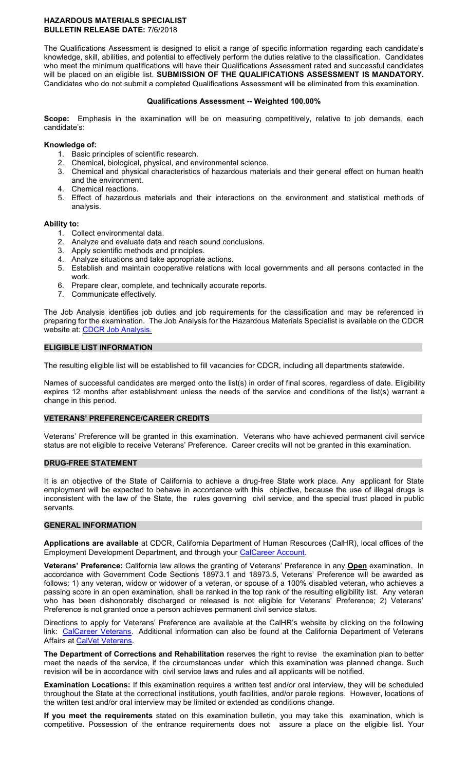#### **HAZARDOUS MATERIALS SPECIALIST BULLETIN RELEASE DATE:** 7/6/2018

The Qualifications Assessment is designed to elicit a range of specific information regarding each candidate's knowledge, skill, abilities, and potential to effectively perform the duties relative to the classification. Candidates who meet the minimum qualifications will have their Qualifications Assessment rated and successful candidates will be placed on an eligible list. **SUBMISSION OF THE QUALIFICATIONS ASSESSMENT IS MANDATORY.**  Candidates who do not submit a completed Qualifications Assessment will be eliminated from this examination.

#### **Qualifications Assessment -- Weighted 100.00%**

**Scope:** Emphasis in the examination will be on measuring competitively, relative to job demands, each candidate's:

#### **Knowledge of:**

- 1. Basic principles of scientific research.
- 2. Chemical, biological, physical, and environmental science.
- 3. Chemical and physical characteristics of hazardous materials and their general effect on human health and the environment.
- 4. Chemical reactions.
- 5. Effect of hazardous materials and their interactions on the environment and statistical methods of analysis.

#### **Ability to:**

- 1. Collect environmental data.
- 2. Analyze and evaluate data and reach sound conclusions.
- 3. Apply scientific methods and principles.
- 4. Analyze situations and take appropriate actions.
- 5. Establish and maintain cooperative relations with local governments and all persons contacted in the work.
- 6. Prepare clear, complete, and technically accurate reports.
- 7. Communicate effectively.

The Job Analysis identifies job duties and job requirements for the classification and may be referenced in preparing for the examination. The Job Analysis for the Hazardous Materials Specialist is available on the CDCR website at: [CDCR Job Analysis.](https://www.cdcr.ca.gov/Career_Opportunities/HR/OPS/Exams/Analysis/index.html)

#### **ELIGIBLE LIST INFORMATION**

The resulting eligible list will be established to fill vacancies for CDCR, including all departments statewide.

Names of successful candidates are merged onto the list(s) in order of final scores, regardless of date. Eligibility expires 12 months after establishment unless the needs of the service and conditions of the list(s) warrant a change in this period.

#### **VETERANS' PREFERENCE/CAREER CREDITS**

Veterans' Preference will be granted in this examination. Veterans who have achieved permanent civil service status are not eligible to receive Veterans' Preference. Career credits will not be granted in this examination.

## **DRUG-FREE STATEMENT**

It is an objective of the State of California to achieve a drug-free State work place. Any applicant for State employment will be expected to behave in accordance with this objective, because the use of illegal drugs is inconsistent with the law of the State, the rules governing civil service, and the special trust placed in public servants.

#### **GENERAL INFORMATION**

**Applications are available** at CDCR, California Department of Human Resources (CalHR), local offices of the Employment Development Department, and through your [CalCareer Account.](https://www.jobs.ca.gov/)

**Veterans' Preference:** California law allows the granting of Veterans' Preference in any **Open** examination. In accordance with Government Code Sections 18973.1 and 18973.5, Veterans' Preference will be awarded as follows: 1) any veteran, widow or widower of a veteran, or spouse of a 100% disabled veteran, who achieves a passing score in an open examination, shall be ranked in the top rank of the resulting eligibility list. Any veteran who has been dishonorably discharged or released is not eligible for Veterans' Preference; 2) Veterans' Preference is not granted once a person achieves permanent civil service status.

Directions to apply for Veterans' Preference are available at the CalHR's website by clicking on the following link: [CalCareer Veterans.](https://jobs.ca.gov/CalHRPublic/Landing/Veterans.aspx) Additional information can also be found at the California Department of Veterans Affairs at [CalVet Veterans.](http://www.calvet.ca.gov/veteran-services-benefits/employment)

**The Department of Corrections and Rehabilitation** reserves the right to revise the examination plan to better meet the needs of the service, if the circumstances under which this examination was planned change. Such revision will be in accordance with civil service laws and rules and all applicants will be notified.

**Examination Locations:** If this examination requires a written test and/or oral interview, they will be scheduled throughout the State at the correctional institutions, youth facilities, and/or parole regions. However, locations of the written test and/or oral interview may be limited or extended as conditions change.

**If you meet the requirements** stated on this examination bulletin, you may take this examination, which is competitive. Possession of the entrance requirements does not assure a place on the eligible list. Your